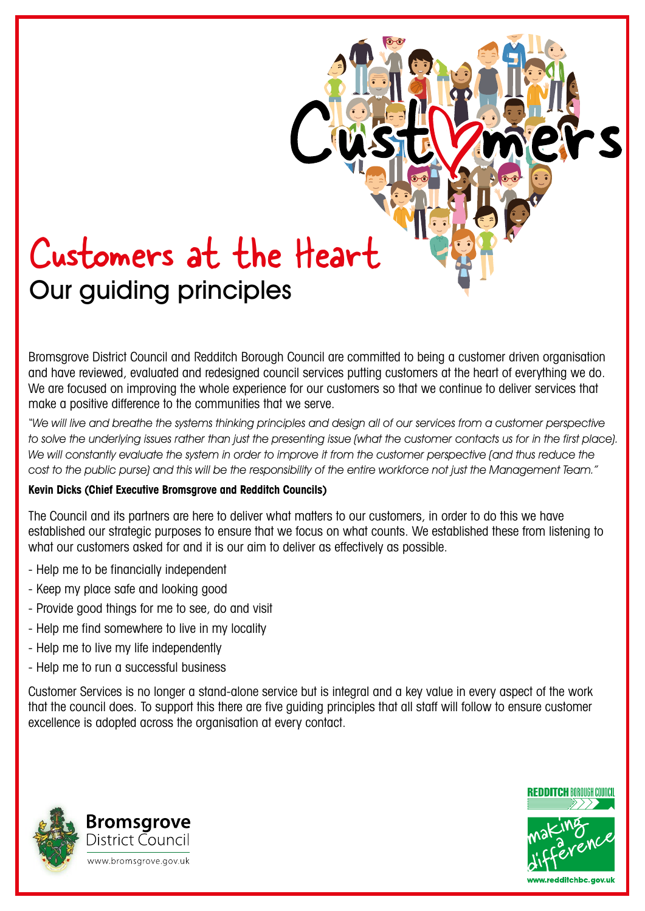# Customers at the Heart Our guiding principles

Bromsgrove District Council and Redditch Borough Council are committed to being a customer driven organisation and have reviewed, evaluated and redesigned council services putting customers at the heart of everything we do. We are focused on improving the whole experience for our customers so that we continue to deliver services that make a positive difference to the communities that we serve.

"We will live and breathe the systems thinking principles and design all of our services from a customer perspective to solve the underlying issues rather than just the presenting issue (what the customer contacts us for in the first place). We will constantly evaluate the system in order to improve it from the customer perspective (and thus reduce the cost to the public purse) and this will be the responsibility of the entire workforce not just the Management Team."

#### **Kevin Dicks (Chief Executive Bromsgrove and Redditch Councils)**

The Council and its partners are here to deliver what matters to our customers, in order to do this we have established our strategic purposes to ensure that we focus on what counts. We established these from listening to what our customers asked for and it is our aim to deliver as effectively as possible.

- Help me to be financially independent
- Keep my place safe and looking good
- Provide good things for me to see, do and visit
- Help me find somewhere to live in my locality
- Help me to live my life independently
- Help me to run a successful business

Customer Services is no longer a stand-alone service but is integral and a key value in every aspect of the work that the council does. To support this there are five guiding principles that all staff will follow to ensure customer excellence is adopted across the organisation at every contact.



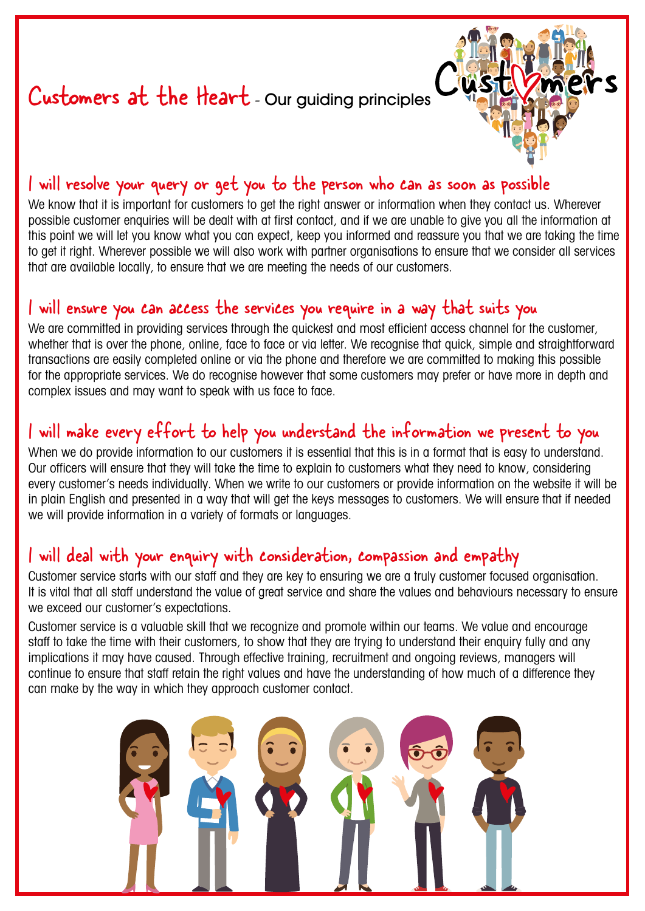# Customers at the Heart - Our guiding principles



### I will resolve your query or get you to the person who can as soon as possible

We know that it is important for customers to get the right answer or information when they contact us. Wherever possible customer enquiries will be dealt with at first contact, and if we are unable to give you all the information at this point we will let you know what you can expect, keep you informed and reassure you that we are taking the time to get it right. Wherever possible we will also work with partner organisations to ensure that we consider all services that are available locally, to ensure that we are meeting the needs of our customers.

### I will ensure you can access the services you require in a way that suits you

We are committed in providing services through the quickest and most efficient access channel for the customer, whether that is over the phone, online, face to face or via letter. We recognise that quick, simple and straightforward transactions are easily completed online or via the phone and therefore we are committed to making this possible for the appropriate services. We do recognise however that some customers may prefer or have more in depth and complex issues and may want to speak with us face to face.

### I will make every effort to help you understand the information we present to you

When we do provide information to our customers it is essential that this is in a format that is easy to understand. Our officers will ensure that they will take the time to explain to customers what they need to know, considering every customer's needs individually. When we write to our customers or provide information on the website it will be in plain English and presented in a way that will get the keys messages to customers. We will ensure that if needed we will provide information in a variety of formats or languages.

### I will deal with your enquiry with consideration, compassion and empathy

Customer service starts with our staff and they are key to ensuring we are a truly customer focused organisation. It is vital that all staff understand the value of great service and share the values and behaviours necessary to ensure we exceed our customer's expectations.

Customer service is a valuable skill that we recognize and promote within our teams. We value and encourage staff to take the time with their customers, to show that they are trying to understand their enquiry fully and any implications it may have caused. Through effective training, recruitment and ongoing reviews, manggers will continue to ensure that staff retain the right values and have the understanding of how much of a difference they can make by the way in which they approach customer contact.

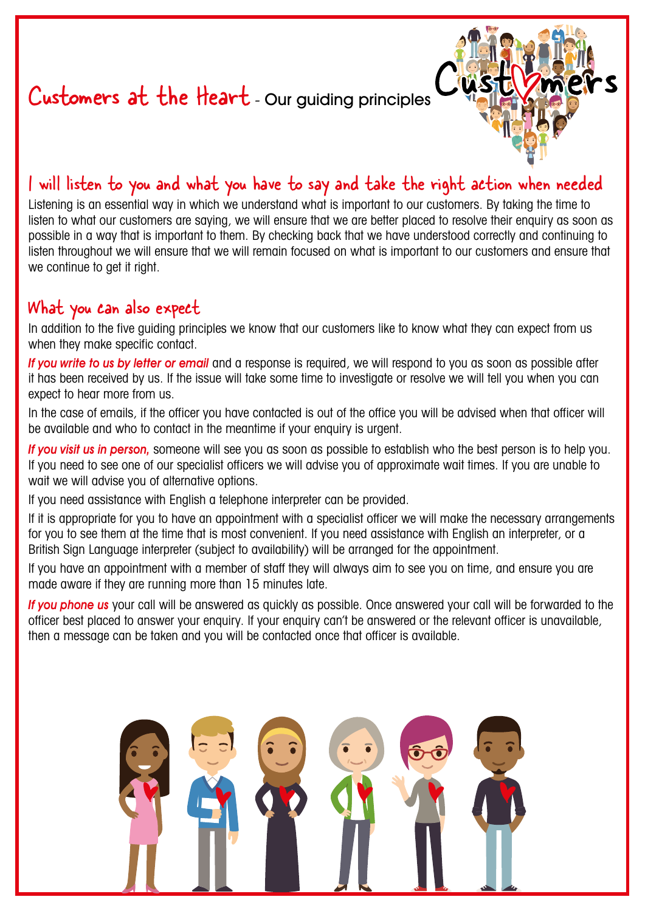## Customers at the Heart - Our guiding principles



### I will listen to you and what you have to say and take the right action when needed

Listening is an essential way in which we understand what is important to our customers. By taking the time to listen to what our customers are saying, we will ensure that we are better placed to resolve their enquiry as soon as possible in a way that is important to them. By checking back that we have understood correctly and continuing to listen throughout we will ensure that we will remain focused on what is important to our customers and ensure that we continue to get it right.

### What you can also expect

In addition to the five guiding principles we know that our customers like to know what they can expect from us when they make specific contact.

If you write to us by letter or email and a response is required, we will respond to you as soon as possible after it has been received by us. If the issue will take some time to investigate or resolve we will tell you when you can expect to hear more from us.

In the case of emails, if the officer you have contacted is out of the office you will be advised when that officer will be available and who to contact in the meantime if your enquiry is urgent.

If you visit us in person, someone will see you as soon as possible to establish who the best person is to help you. If you need to see one of our specialist officers we will advise you of approximate wait times. If you are unable to wait we will advise you of alternative options.

If you need assistance with English a telephone interpreter can be provided.

If it is appropriate for you to have an appointment with a specialist officer we will make the necessary arrangements for you to see them at the time that is most convenient. If you need assistance with English an interpreter, or a British Sign Language interpreter (subject to availability) will be arranged for the appointment.

If you have an appointment with a member of staff they will always aim to see you on time, and ensure you are made aware if they are running more than 15 minutes late.

If you phone us your call will be answered as quickly as possible. Once answered your call will be forwarded to the officer best placed to answer your enquiry. If your enquiry can't be answered or the relevant officer is unavailable, then a message can be taken and you will be contacted once that officer is available.